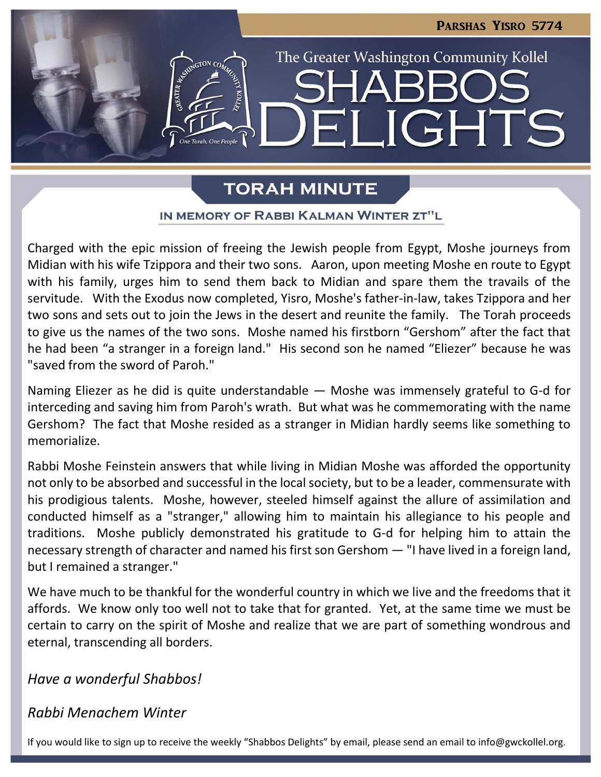

# **TORAH MINUTE**

### IN MEMORY OF RABBI KALMAN WINTER ZT"L

Charged with the epic mission of freeing the Jewish people from Egypt, Moshe journeys from Midian with his wife Tzippora and their two sons. Aaron, upon meeting Moshe en route to Egypt with his family, urges him to send them back to Midian and spare them the travails of the servitude. With the Exodus now completed, Yisro, Moshe's father-in-law, takes Tzippora and her two sons and sets out to join the Jews in the desert and reunite the family. The Torah proceeds to give us the names of the two sons. Moshe named his firstborn "Gershom" after the fact that he had been "a stranger in a foreign land." His second son he named "Eliezer" because he was "saved from the sword of Paroh."

Naming Eliezer as he did is quite understandable — Moshe was immensely grateful to G-d for interceding and saving him from Paroh's wrath. But what was he commemorating with the name Gershom? The fact that Moshe resided as a stranger in Midian hardly seems like something to memorialize.

Rabbi Moshe Feinstein answers that while living in Midian Moshe was afforded the opportunity not only to be absorbed and successful in the local society, but to be a leader, commensurate with his prodigious talents. Moshe, however, steeled himself against the allure of assimilation and conducted himself as a "stranger," allowing him to maintain his allegiance to his people and traditions. Moshe publicly demonstrated his gratitude to G-d for helping him to attain the necessary strength of character and named his first son Gershom — "I have lived in a foreign land, but I remained a stranger."

We have much to be thankful for the wonderful country in which we live and the freedoms that it affords. We know only too well not to take that for granted. Yet, at the same time we must be certain to carry on the spirit of Moshe and realize that we are part of something wondrous and eternal, transcending all borders.

*Have a wonderful Shabbos!*

# *Rabbi Menachem Winter*

If you would like to sign up to receive the weekly "Shabbos Delights" by email, please send an email to [info@gwckollel.org](mailto:info@gwckollel.org).